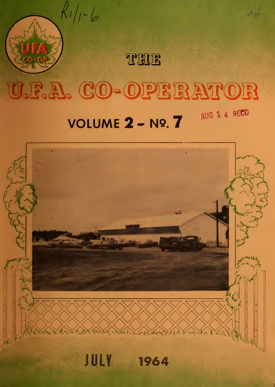

THE

# U.F.A. CO-OPERATOR

#### AUG 1 4 RECD **VOLUME 2 - Nº. 7**

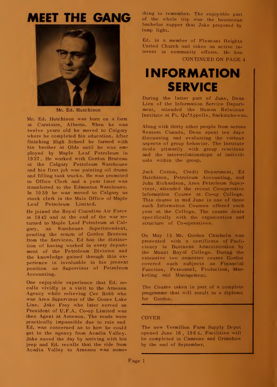### MEET THE GANG



Mr. Ed. Hutchison

Mr. Ed. Hutchison was born on a farm at Carstairs, Alberta. When he was twelve years old he moved to Calgary where he completed his education. After finishing High School he farmed with his brother at Olds until he was employed by Maple Leaf Petroleum in 19 37 . He worked with Gordon Brazeau at the Calgary Petroleum Warehouse and his first job was painting oil drums and filling tank trucks. He was promoted to Office Clerk and a year later was transferred to the Edmonton Warehouse. In 19 39 he was moved to Calgary as stock clerk in the Main Office of Maple Leaf Petroleum Limited.

He joined the Royal Canadian Air Force in 19 42 and at the end of the war re turned to Maple Leaf Petroleum at Calgary, as Warehouse Superintendent, pending the return of Gordon Brazeau from the Services. Ed has the distinction of having worked in every depart ment of the Petroleum Division and the knowledge gained through this ex perience is invaluable in his present position as Supervisor of Petroleum Accounting.

One enjoyable experience that Ed. re calls vividly is a visit to the Arneson Agency while relieving Cec Robb who was Area Supervisor of the Goose Lake Line. Jake Frey who later served as President of U.F.A. Co-op Limited was then Agent at Arneson. The roads were practically impassible due to rain and Ed. was concerned as to how he could get to the agency from Acadia Valley. Jake saved the day by arriving with his jeep and Ed. recalls that the ride from Acadia Valley to Arneson was something to remember. The enjoyable part of the whole trip was the bounteous bachelor supper that Jake prepared by lamp light.

Ed. is a member of Pleasant Heights United Church and takes an active in terest in community affairs. He has CONTINUED ON PAGE <sup>4</sup>

### INFORMATION SERVICE

During the latter part of June, Dean Lien of the Information Service Depart ment, attended the Human Relations Institute at Ft. Qu'Appelle, Saskatchewan

Along with thirty other people from across Western Canada, Dean spent ten days discussing and evaluating the various aspects of group behavior. The Institute deals primarily with group reactions and the inter-relationships of individ uals within the group.

Jack Cotton, Credit Department, Ed Hutchison, Petroleum Accounting, and John Richardson, Area Petroleum Supervisor, attended the recent Co-operative Information Course at Co-op College. This course in mid June is one of three such Information Courses offered each year at the College. The course deals specifically with the organization and structure of Co-operatives.

On May 15 Mr. Gordon Chisholm was presented with a certificate of Profi ciency in Business Administration by the Mount Royal College. During the extensive two semester course Gordon covered such subjects as Financial Function, Personnel, Production, Marketing and Management.

The Course taken is part of a complete programme that will result in a diploma for Gordon.

#### COVER

The new Vermilion Farm Supply Depot opened June 16, 196 4. Facilities will be completed in Camrose and Grimshaw by the end of September.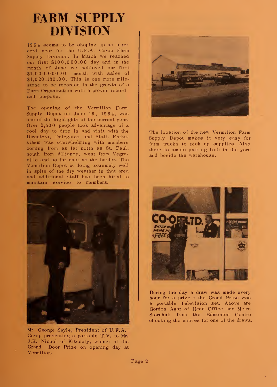### FARM SUPPLY DIVISION

19 6 <sup>4</sup> seems to be shaping up as a re cord year for the U.F.A. Co-op Farm Supply Division. In March we reached our first \$10 0,000.00 day and in the month of June we achieved our first \$1,000,000.00 month with sales of \$1,020,130.00. This is one more mile stone to be recorded in the growth of a Farm Organization with a proven record and purpose.

The opening of the Vermilion Farm Supply Depot on June 16, 19 <sup>6</sup> 4, was one of the highlights of the current year. Over 2,500 people took advantage of a cool day to drop in and visit with the Directors, Delegates and Staff. Enthu siasm was overwhelming with members coming from as far north as St. Paul, south from Alliance, west from Vegreville and as far east as the border. The Vermilion Depot is doing extremely well in spite of the dry weather in that area and additional staff has been hired to maintain service to members.



Mr. George Sayle, President of U.F.A. Co-op presenting a portable T.V. to Mr. J.K. Nichol of Kitscoty, winner of the Grand Door Prize on opening day at Vermilion.



The location of the new Vermilion Farm Supply Depot makes it very easy for farm trucks to pick up supplies. Also there is ample parking both in the yard and beside the warehouse.



During the day a draw was made every hour for a prize - the Grand Prize was a portable Television set. Above are Gordon Agar of Head Office and Metro Starchuk from the Edmonton Centre checking the entries for one of the draws.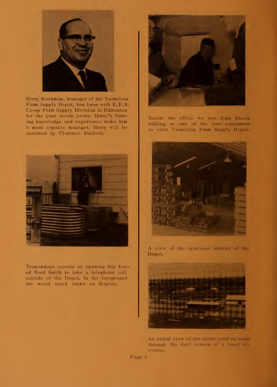

Harry Koshman, manager of the Vermilion Farm Supply Depot, has been with U.F.A. Co-op Farm Supply Division in Edmonton for the past seven years. Harry's farm ing knowledge and experience make him a most capable manager. Harry will be assisted by Clarence Duckett.



Tremendous crowds on opening day forc ed Ward Smith to take a telephone call outside of the Depot. In the foreground are metal stock tanks on display.



Inside the office we see John Dueck talking to one of the first customers to visit Vermilion Farm Supply Depot.



A view of the spacious interior of the Depot.



An aerial view of the entire yard as seen through the dust screen of a local el evator.

Page 3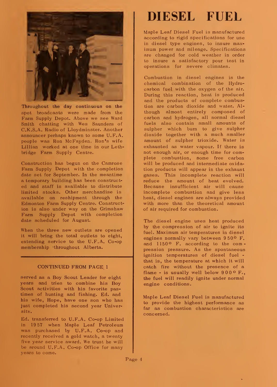

Throughout the day continuous on the spot broadcasts were made from the Farm Supply Depot. Above we see Ward Smith chatting with Wes Saunders of C.K.S.A. Radio of Lloydminster. Another announcer perhaps known to some U.F.A. people was Ron McFayden. Ron's wife Lillian worked at one time in our Lethbridge Farm Supply Centre.

Construction has begun on the Camrose Farm Supply Depot with the completion date set for September. In the meantime a temporary building has been construct ed and staff is available to distribute limited stocks. Other merchandise is available on reshipment through the Edmonton Farm Supply Centre. Construction is also under way on the Grimshaw Farm Supply Depot with completion date scheduled for August.

When the three new outlets are opened it will bring the total outlets to eight, extending service to the U.F.A. Co-op membership throughout Alberta.

#### CONTINUED FROM PAGE <sup>1</sup>

served as a Boy Scout Leader for eight years and tries to combine his Boy Scout activities with his favorite pastimes of hunting and fishing. Ed. and his wife, Hope, have one son who has just completed his second year Universitv.

Ed. transferred to U.F.A. Co-op Limited in 19 57 when Maple Leaf Petroleum was purchased by U.F.A. Co-op and recently received a gold watch, a twenty five year service award. We trust he will be around U.F.A. Co-op Office for many years to come.

### DIESEL FUEL

Maple Leaf Diesel Fuel is manufactured according to rigid specifications for use in diesel type engines, to insure max imum power and mileage. Specifications are changed for cold weather in order to insure a satisfactory pour test in operations for severe climates.

Combustion in diesel engines is the chemical combination of the Hydrocarbon fuel with the oxygen of the air. During this reaction, heat is produced and the products of complete combustion are carbon dioxide and water. Al though almost entirely composed of carbon and hydrogen, all normal diesel fuels also contain small amounts of sulpher which burn to give sulpher dioxide together with a much smaller amount of sulpher trioxide. Water is exhausted as water vapour. If there is not enough air, or enough time for complete combustion, some free carbon will be produced and intermediate oxidation products will appear in the exhaust gases. This incomplete reaction will reduce the amount of heat evolved. Because insufficient air will cause incomplete combustion and give less heat, diesel engines are always provided with more than the theoretical amount of air required for combustion.

The diesel engine uses heat produced by the compression of air to ignite its fuel. Maximum air temperatures in diesel engines normally vary between 950° F. and 1150<sup>o</sup> F. according to the compression pressure. As the spontaneous ignition temperatures of diesel fuel that is, the temperature at which it will catch fire without the presence of a flame  $\cdot$  is usually well below  $900^{\circ}$  F., the fuel will readily ignite under normal engine conditions.

Maple Leaf Diesel Fuel is manufactured to provide the highest performance as far as combustion characteristics are concerned.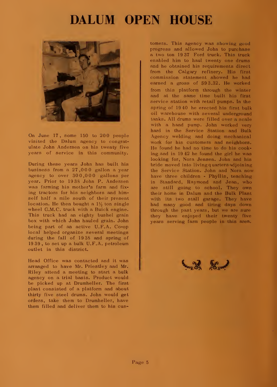#### DALUM OPEN HOUSE



On June 17, some 150 to 200 people visited the Dalum agency to congratulate John Andersen on his twenty five years of service in this community.

During these years John has built his business from a 27,000 gallon a year agency to over 300,000 gallons per year. Prior to 19 38 John P. Andersen was farming his mother's farm and fix ing tractors for his neighbors and himself half a mile south of their present location. He then bought a  $1\frac{1}{2}$  ton single wheel G.M.C. truck with a Buick engine. This truck had an eighty bushel grain box with which John hauled grain. John being part of an active U.F.A. Co-op local helped organize several meetings during the fall of 19 38 and spring of 19 39 , to set up a bulk U.F.A. petroleum outlet in this district.

Head Office was contacted and it was arranged to have Mr. Priestley and Mr. Riley attend a meeting to start a bulk agency on a trial basis. Product would be picked up at Drumheller. The first plant consisted of a platform and about thirty five steel drums. John would get orders, take them to Drumheller, have them filled and deliver them to his customers. This agency was showing good progress and allowed John to purchase a two ton 19 37 Ford truck. This truck enabled him to haul twenty one drums and he obtained his requirements direct from the Calgary refinery. His first commission statement showed he had earned a gross of \$9 3.32. He worked from this platform through the winter and at the same time built his first service station with retail pumps. In the spring of 19 40 he erected his first bulk oil warehouse with several underground tanks. All drums were filled over a scale with a hand pump. John worked very hard in the Service Station and Bulk Agency welding and doing mechanical work for his customers and neighbors. He found he had no time to do his cooking and in 19 42 he found the girl he was looking for, Nora Jensen. John and his bride moved into living q uarters adjoining the Service Station. John and Nora now have three children - Phyllis, teaching in Standard, Raymond and Jean, who are still going to school. They own their home in Dalum and the Bulk Plant with its two stall garage. They have had many good and tiring days down through the past years, but we are sure they have enjoyed their twenty five years serving farm people in this area.

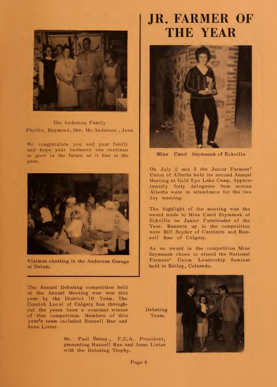

The Andersen Family Phyllis, Raymond, Mrs. Mr. Andersen , Jean

We congratulate you and your family and hope your business can continue to grow in the future as it has in the past.



Visitors chatting in the Andersen Garage at Dalum.

The Annual Debating competition held at the Annual Meeting was won this year by the District 10 Team. The Conrich Local of Calgary has through out the years been a constant winner of this competition. Members of this year's team included Russell Rae and Anne Lister.

> Mr. Paul Babey, F.U.A. President, I presenting Russell Rae and Anne Lister with the Debating Trophy.

### JR. FARMER OF THE YEAR



Miss Carol Szymanek of Eckville

On July 2 and <sup>3</sup> the Junior Farmers' Union of Alberta held its second Annual Meeting at Gold Eye Lake Camp. Approximately forty delegates from across Alberta were in attendance for the two day meeting.

The highlight of the meeting was the award made to Miss Carol Szymanek of Eckville as Junior Farmleader of the Year. Runners up in the competition were Bill Snyder of Carstairs and Russell Rae of Calgary.

As an award in the competition Miss Szymanek chose to attend the National Farmers' Union Leadership Seminar held in Bailey, Colorado.



Page 6

Debating Team.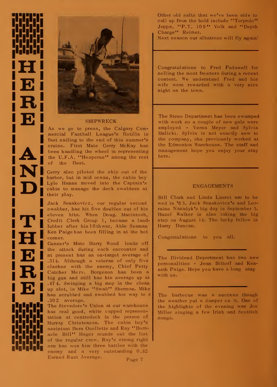

#### SHIPWRECK

fast sailing to the end of this summer<br>cruise. First Mate Gerry McKay h<br>been handling the wheel in representi<br>the U.F.A. "Hesperus" among the re<br>of the fleet. As we go to press, the Calgary Commercial Fastball League's flotilla is fast sailing to the end of this summer's cruise. First Mate Gerry McKay has been handling the wheel in representing  $\|$  <sup>ma</sup> the U.F.A. "Hesperus" among the rest of the fleet.

the U.F.A. "Hesperus" among the report of the fleet.<br>
Serry also piloted the ship out of the harbor, but in mid ocean, the cabin bo<br>
Lyle Hanna moved into the Captain' harbor, but in mid ocean, the cabin boy<br>Lyle Hanna moved into the Captain's<br>their play.<br>B Gerry also piloted the ship out of the Lyle Hanna moved into the Captain's cabin to manage the deck swabbers at their play.

Swabber, has hit five doubles out of his<br>eleven hits. When Doug. Macintosh,<br>luber after his 10thwar, Able Seaman<br>ken Paige has been filling in at the hot Iubber after his 10thwar, Able Sear<br>
Ken Paige has been filling in at the<br>
Conner.<br>
Councr's Mate Harry Wood leads<br>
the attack during each encounter Jack Senakovicz, our regular second swabber, has hit five doubles out of his Credit Clerk Group 1, became a land lubber after his 10th war, Able Seaman Ken Paige has been filling in at the hot corner.

The attack during each encounter and<br>at present has an on-target average of<br>although a veteran of only five<br>clashes with the enemy. Chief Petty 1314. Although a veteran of only clashes with the enemy, Chief P Catcher Merv. Borgeson has been and still has his average view of  $\mathbf{R}^{(314, 414)}$  and a still has his average view of  $\mathbf{R}^{(474, 414)}$  avinging a big big gun and still has his average up at<br>47 4. Swinging a big mop in the clean<br>up slot, is Mike "Swab" Sherman. Mike<br>has scrubbed and swabbed his way to a Gunner's Mate Harry Wood leads off the attack during each encounter and at present has an on-target average of clashes with the enemy, Chief Petty  $\begin{bmatrix} P \end{bmatrix}$ Catcher Merv. Borgeson has been a big gun and still has his average up at up slot, is Mike "Swab" Sherman. Mike has scrubbed and swabbed his way to <sup>a</sup> .302 average.

the streamed of the streamed represen-**1111** has real good, white capped represent M<br>**1111** tation at centredeck in the person of So Murray Christensen. The cabin boy's<br>assistant Bern Quellette and Ray "Barn-<br>acle Bill" Hager rounds out the list **Kill arm** has won him three battles with the The Stevedore's Union at our warehouse assistant Bern Ouellette and Ray "Barnacle Bill" Hager rounds out the list of the regular crew. Ray's strong right enemy and a very outstanding 0.82 Earned Rust Average. Page 7

Other old salts that we've been able to call up from the hold include "Torpedo" Jepps, "P.T. 109" Volk and "Depth Charge" Reimer.

Next season our albatross will fly again!

Congratulations to Fred Padawell for selling the most freezers during a recent contest. We understand Fred and his wife were rewarded with a very nice night on the town.

The Steno Department has been swamped with work so a couple of new gals were employed - Verna Meyer and Sylvia Halicki. Sylvia is not exactly new to the company, she previously worked at the Edmonton Warehouse. The staff and management hope you enjoy your stay here.

#### ENGAGEMENTS

Bill Clark and Linda Lauret are to be wed in '6 5. Jack Senakovicz's and Lorraine Nasadyk's big day is September 5. Hazel Walker is also taking the big step on August 14. The lucky fellow is Harry Duncan.

Congratulations to you all.

The Dividend Department has two new personalities - Jean Bittorf and Kenneth Paige. Hope you have a long stay with us.

The barbecue was a success though the weather put a damper on it. One of the highlights of the evening was Joe Miller singing a few Irish and Scottish songs.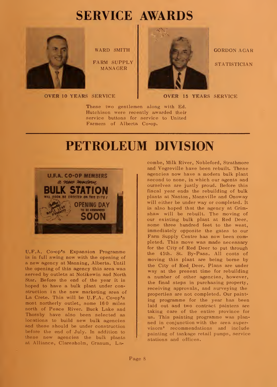## SERVICE AWARDS



WARD SMITH

FARM SUPPLY MANAGER

OVER <sup>10</sup> YEARS SERVICE



GORDON AGAR **STATISTICIAN** 

OVER <sup>15</sup> YEARS SERVICE

These two gentlemen along with Ed. Hutchison were recently awarded their service buttons for service to United Farmers of Alberta Co-op.

#### PETROLEUM DIVISION



U.F.A. Co-op's Expansion Programme is in full swing now with the opening of a new agency at Manning, Alberta. Until the opening of this agency this area was served by outlets at Notikewin and North Star. Before the end of the year it is hoped to have a bulk plant under construction in the new marketing area of La Crete. This will be U.F.A. Co-op's most northerly outlet, some 160 miles north of Peace River. Buck Lake and Thorsby have also been selected as locations to build new bulk agencies and these should be under construction before the end of July. In addition to these new agencies the bulk plants at Alliance, Claresholm, Granum, Lacombe, Milk River, Nobleford, Strathmore and Vegreville have been rebuilt. These agencies now have a modern bulk plant second to none, in which our agents and ourselves are justly proud. Before this fiscal year ends the rebuilding of bulk plants at Nanton, Mannville and Onoway will either be under way or completed. It is also hoped that the agency at Grim shaw will be rebuilt. The moving of our existing bulk plant at Red Deer, some three hundred feet to the west, immediately opposite the gates to our Farm Supply Centre has now been completed. This move was made necessary for the City of Red Deer to put through the 45th. St. By-Pass. All costs of moving this plant are being borne by the City of Red Deer. Plans are under way at the present time for rebuilding a number of other agencies, however, the final steps in purchasing property, receiving approvals, and surveying the properties are not completed. Our painting programme for the year has been laid out and two contract painters are taking care of the entire province for us. This painting programme was plan ned in conjunction with the area supervisors' recommendations and include painting of tankage retail pumps, service stations and offices.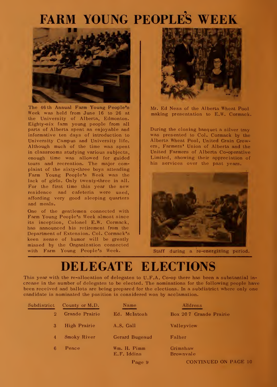# FARM YOUNG PEOPLES WEEK



The 46 th Annual Farm Young People's Week was held from June 16 to 26 at the University of Alberta, Edmonton. Eighty-six farm young people from all parts of Alberta spent an enjoyable and informative ten days of introduction to University Campus and University life. Although much of the time was spent in classrooms studying various subjects, enough time was allowed for guided tours and recreation. The major complaint of the sixty-three boys attending Farm Young People's Week was the lack of girls. Only twenty-three in all. For the first time this year the new residence and cafeteria were used, affording very good sleeping quarters and meals.

One of the gentlemen connected with Farm Young People's Week almost since its inception, Colonel E.W. Gormack, has announced his retirement from the Department of Extension. Col. Cormack's keen sense of humor will be greatly missed by the Organization connected with Farm Young People's Week.



Mr. Ed Ness of the Alberta Wheat Pool making presentation to E.W. Cormack.

During the closing banquet a silver tray was presented to Col. Cormack by the Alberta Wheat Pool, United Grain Growers, Farmers' Union of Alberta and the United Farmers of Alberta Co-operative Limited, showing their appreciation of his services over the past years.



Staff during a re-energizing period.

### DELEGATE ELECTIONS

This year with the re-allocation of delegates to U.F.A. Co-op there has been a substantial increase in the number of delegates to be elected. The nominations for the following people have been received and ballots are being prepared for the elections. In a subdistrict where only one candidate is nominated the position is considered won by acclamation.

| Subdistrict    | County or M.D. | Name                       | Address                      |
|----------------|----------------|----------------------------|------------------------------|
| $\overline{2}$ | Grande Prairie | Ed. McIntosh               | Box 207 Grande Prairie       |
| 3              | High Prairie   | A.S. Gall                  | Valleyview                   |
| 4              | Smoky River    | Gerard Bugeaud             | Falher                       |
| 6              | Peace          | Wm. H. Pimm<br>E.F. Iddins | Grimshaw<br><b>Brownvale</b> |
|                |                | Page 9                     | <b>CONTINUED ON PAGE 10</b>  |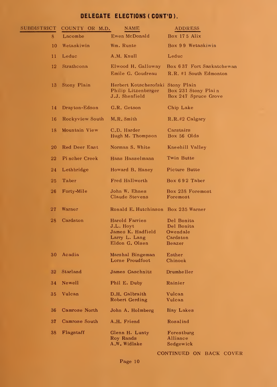#### **DELEGATE ELECTIONS ( CONT'D ).**

| SUBDISTRICT | COUNTY OR M.D.  | NAME                                                                                | ADDRESS                                                    |
|-------------|-----------------|-------------------------------------------------------------------------------------|------------------------------------------------------------|
| 8           | Lacombe         | Ewen McDonald                                                                       | Box 175 Alix                                               |
| 10          | Wetaskiwin      | Wm. Runte                                                                           | Box 99 Wetaskiwin                                          |
| 11          | Leduc           | A.M. Knull                                                                          | Leduc                                                      |
| 12          | Strathcona      | Elwood H. Galloway<br>Emile G. Goudreau                                             | Box 637 Fort Saskatchewan<br>R.R. #1 South Edmonton        |
| 13          | Stony Plain     | Herbert Kotscherofski Stony Plain<br>Philip Litzenberger<br><b>J.J.</b> Shenfield   | Box 231 Stony Plain<br>Box 247 Spruce Grove                |
| 14          | Drayton-Edson   | G.R. Getson                                                                         | Chip Lake                                                  |
| 16          | Rockyview South | M.R. Smith                                                                          | R.R.#2 Calgary                                             |
| 18          | Mountain View   | C.D. Harder<br>Hugh M. Thompson                                                     | Carstairs<br>Box 56 Olds                                   |
| 20          | Red Deer East   | Norman S. White                                                                     | Kneehill Valley                                            |
| 22          | Pincher Creek   | Hans Hasselmann                                                                     | Twin Butte                                                 |
| 24          | Lethbridge      | Howard B. Haney                                                                     | Picture Butte                                              |
| 25          | Taber           | Fred Hallworth                                                                      | Box 692 Taber                                              |
| 26          | Forty-Mile      | John W. Ehnes<br>Claude Stevens                                                     | Box 238 Foremost<br>Foremost                               |
| 27          | Warner          | Ronald E. Hutchinson Box 235 Warner                                                 |                                                            |
| 28          | Cardston        | Harold Farries<br>J.L. Hoyt<br>James K. Hadfield<br>Larry L. Lang<br>Eldon G. Olsen | Del Bonita<br>Del Bonita<br>Owendale<br>Cardston<br>Beazer |
| 30          | Acadia          | Marshal Bingeman<br>Lorne Proudfoot                                                 | Esther<br>Chinook                                          |
| 32          | Starland        | James Gaschnitz                                                                     | Drumheller                                                 |
| 34          | Newell          | Phil E. Duby                                                                        | Rainier                                                    |
| 35          | Vulcan          | D.H. Galbraith<br>Robert Gerding                                                    | Vulcan<br>Vulcan                                           |
| 36          | Camrose North   | John A. Holmberg                                                                    | Hay Lakes                                                  |
| 37          | Camrose South   | A.H. Friend                                                                         | Rosalind                                                   |
| 38          | Flagstaff       | Glenn H. Lunty<br>Roy Rands<br>A.W. Widlake                                         | Forestburg<br>Alliance<br>Sedgewick                        |

CONTINUED ON BACK COVER